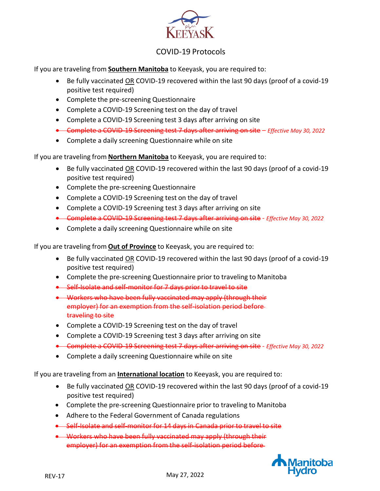

If you are traveling from **Southern Manitoba** to Keeyask, you are required to:

- Be fully vaccinated OR COVID-19 recovered within the last 90 days (proof of a covid-19 positive test required)
- Complete the pre-screening Questionnaire
- Complete a COVID-19 Screening test on the day of travel
- Complete a COVID-19 Screening test 3 days after arriving on site
- Complete a COVID-19 Screening test 7 days after arriving on site *Effective May 30, 2022*
- Complete a daily screening Questionnaire while on site

If you are traveling from **Northern Manitoba** to Keeyask, you are required to:

- Be fully vaccinated OR COVID-19 recovered within the last 90 days (proof of a covid-19 positive test required)
- Complete the pre-screening Questionnaire
- Complete a COVID-19 Screening test on the day of travel
- Complete a COVID-19 Screening test 3 days after arriving on site
- Complete a COVID-19 Screening test 7 days after arriving on site *Effective May 30, 2022*
- Complete a daily screening Questionnaire while on site

If you are traveling from **Out of Province** to Keeyask, you are required to:

- Be fully vaccinated OR COVID-19 recovered within the last 90 days (proof of a covid-19 positive test required)
- Complete the pre-screening Questionnaire prior to traveling to Manitoba
- Self-Isolate and self-monitor for 7 days prior to travel to site
- Workers who have been fully vaccinated may apply (through their employer) for an exemption from the self-isolation period before traveling to site
- Complete a COVID-19 Screening test on the day of travel
- Complete a COVID-19 Screening test 3 days after arriving on site
- Complete a COVID-19 Screening test 7 days after arriving on site *Effective May 30, 2022*
- Complete a daily screening Questionnaire while on site

If you are traveling from an **International location** to Keeyask, you are required to:

- Be fully vaccinated OR COVID-19 recovered within the last 90 days (proof of a covid-19 positive test required)
- Complete the pre-screening Questionnaire prior to traveling to Manitoba
- Adhere to the Federal Government of Canada regulations
- Self-Isolate and self-monitor for 14 days in Canada prior to travel to site
- Workers who have been fully vaccinated may apply (through their employer) for an exemption from the self-isolation period before

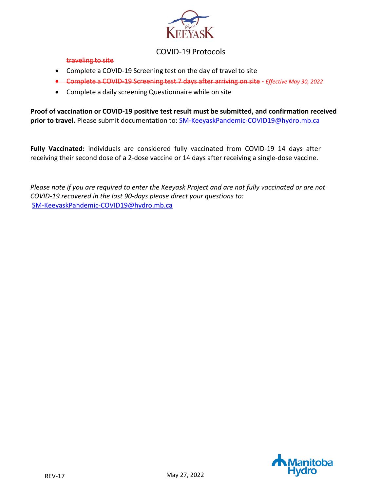

#### traveling to site

- Complete a COVID-19 Screening test on the day of travel to site
- Complete a COVID-19 Screening test 7 days after arriving on site *Effective May 30, 2022*
- Complete a daily screening Questionnaire while on site

**Proof of vaccination or COVID-19 positive test result must be submitted, and confirmation received prior to travel.** Please submit documentation to: [SM-KeeyaskPandemic-COVID19@hydro.mb.ca](mailto:SM-KeeyaskPandemic-COVID19@hydro.mb.ca) 

**Fully Vaccinated:** individuals are considered fully vaccinated from COVID-19 14 days after receiving their second dose of a 2-dose vaccine or 14 days after receiving a single-dose vaccine.

*Please note if you are required to enter the Keeyask Project and are not fully vaccinated or are not COVID-19 recovered in the last 90-days please direct your questions to:* [SM-KeeyaskPandemic-COVID19@hydro.mb.ca](mailto:SM-KeeyaskPandemic-COVID19@hydro.mb.ca)

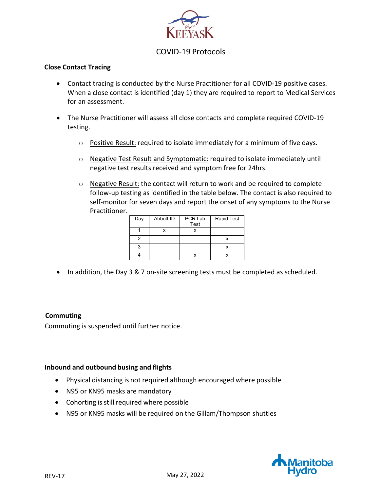

## **Close Contact Tracing**

- Contact tracing is conducted by the Nurse Practitioner for all COVID-19 positive cases. When a close contact is identified (day 1) they are required to report to Medical Services for an assessment.
- The Nurse Practitioner will assess all close contacts and complete required COVID-19 testing.
	- o Positive Result: required to isolate immediately for a minimum of five days.
	- o Negative Test Result and Symptomatic: required to isolate immediately until negative test results received and symptom free for 24hrs.
	- o Negative Result: the contact will return to work and be required to complete follow-up testing as identified in the table below. The contact is also required to self-monitor for seven days and report the onset of any symptoms to the Nurse Practitioner.

| Day | Abbott ID | PCR Lab<br>Test | <b>Rapid Test</b> |
|-----|-----------|-----------------|-------------------|
|     |           |                 |                   |
|     |           |                 |                   |
| я   |           |                 |                   |
|     |           |                 |                   |

• In addition, the Day 3 & 7 on-site screening tests must be completed as scheduled.

## **Commuting**

Commuting is suspended until further notice.

## **Inbound and outbound busing and flights**

- Physical distancing is not required although encouraged where possible
- N95 or KN95 masks are mandatory
- Cohorting is still required where possible
- N95 or KN95 masks will be required on the Gillam/Thompson shuttles

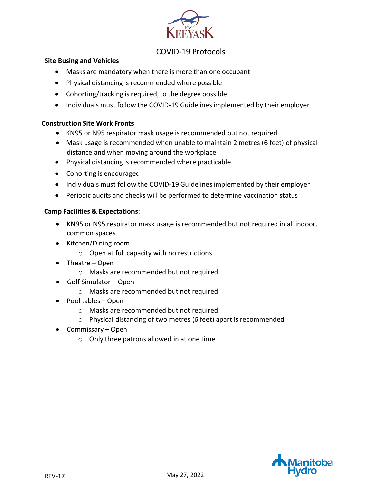

## **Site Busing and Vehicles**

- Masks are mandatory when there is more than one occupant
- Physical distancing is recommended where possible
- Cohorting/tracking is required, to the degree possible
- Individuals must follow the COVID-19 Guidelines implemented by their employer

## **Construction Site Work Fronts**

- KN95 or N95 respirator mask usage is recommended but not required
- Mask usage is recommended when unable to maintain 2 metres (6 feet) of physical distance and when moving around the workplace
- Physical distancing is recommended where practicable
- Cohorting is encouraged
- Individuals must follow the COVID-19 Guidelines implemented by their employer
- Periodic audits and checks will be performed to determine vaccination status

## **Camp Facilities & Expectations**:

- KN95 or N95 respirator mask usage is recommended but not required in all indoor, common spaces
- Kitchen/Dining room
	- $\circ$  Open at full capacity with no restrictions
- Theatre Open
	- o Masks are recommended but not required
- Golf Simulator Open
	- o Masks are recommended but not required
- Pool tables Open
	- o Masks are recommended but not required
	- o Physical distancing of two metres (6 feet) apart is recommended
- Commissary Open
	- o Only three patrons allowed in at one time

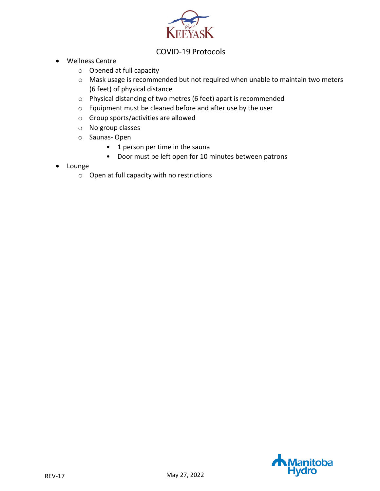

- Wellness Centre
	- o Opened at full capacity
	- o Mask usage is recommended but not required when unable to maintain two meters (6 feet) of physical distance
	- o Physical distancing of two metres (6 feet) apart is recommended
	- o Equipment must be cleaned before and after use by the user
	- o Group sports/activities are allowed
	- o No group classes
	- o Saunas- Open
		- 1 person per time in the sauna
		- Door must be left open for 10 minutes between patrons
- Lounge
	- o Open at full capacity with no restrictions

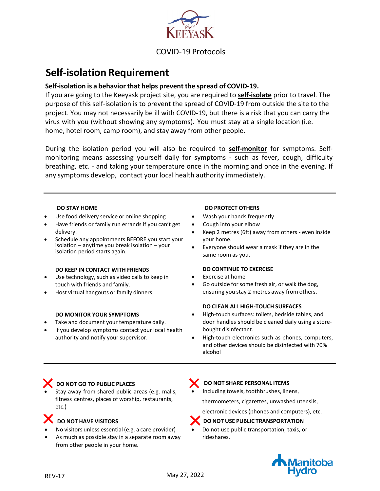

# **Self-isolation Requirement**

## **Self-isolation is a behavior that helps prevent the spread of COVID-19.**

If you are going to the Keeyask project site, you are required to **self-isolate** prior to travel. The purpose of this self-isolation is to prevent the spread of COVID-19 from outside the site to the project. You may not necessarily be ill with COVID-19, but there is a risk that you can carry the virus with you (without showing any symptoms). You must stay at a single location (i.e. home, hotel room, camp room), and stay away from other people.

During the isolation period you will also be required to **self-monitor** for symptoms. Selfmonitoring means assessing yourself daily for symptoms - such as fever, cough, difficulty breathing, etc. - and taking your temperature once in the morning and once in the evening. If any symptoms develop, contact your local health authority immediately.

- Use food delivery service or online shopping
- Have friends or family run errands if you can't get delivery.
- Schedule any appointments BEFORE you start your isolation – anytime you break isolation – your isolation period starts again.

#### **DO KEEP IN CONTACT WITH FRIENDS**

- Use technology, such as video calls to keep in touch with friends and family.
- Host virtual hangouts or family dinners

#### **DO MONITOR YOUR SYMPTOMS**

- Take and document your temperature daily.
- If you develop symptoms contact your local health authority and notify your supervisor.

#### **DO STAY HOME DO PROTECT OTHERS**

- Wash your hands frequently
- Cough into your elbow
- Keep 2 metres (6ft) away from others even inside your home.
- Everyone should wear a mask if they are in the same room as you.

#### **DO CONTINUE TO EXERCISE**

- Exercise at home
- Go outside for some fresh air, or walk the dog, ensuring you stay 2 metres away from others.

#### **DO CLEAN ALL HIGH-TOUCH SURFACES**

- High-touch surfaces: toilets, bedside tables, and door handles should be cleaned daily using a storebought disinfectant.
- High-touch electronics such as phones, computers, and other devices should be disinfected with 70% alcohol

## **DO NOT GO TO PUBLIC PLACES**

Stay away from shared public areas (e.g. malls, fitness centres, places of worship, restaurants, etc.)

## **DO NOT HAVE VISITORS**

- No visitors unless essential (e.g. a care provider)
- As much as possible stay in a separate room away from other people in your home.

## **DO NOT SHARE PERSONAL ITEMS**

• Including towels, toothbrushes, linens,

thermometers, cigarettes, unwashed utensils,

electronic devices (phones and computers), etc.

#### **DO NOT USE PUBLIC TRANSPORTATION**

• Do not use public transportation, taxis, or rideshares.

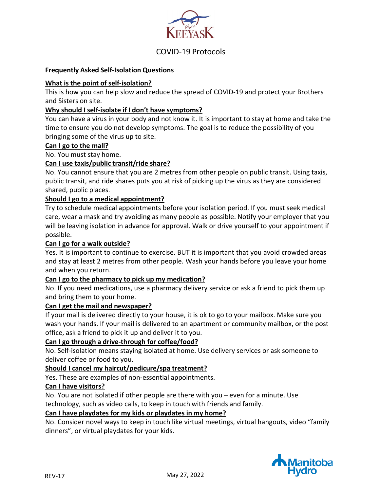

## **Frequently Asked Self-Isolation Questions**

## **What is the point of self-isolation?**

This is how you can help slow and reduce the spread of COVID-19 and protect your Brothers and Sisters on site.

## **Why should I self-isolate if I don't have symptoms?**

You can have a virus in your body and not know it. It is important to stay at home and take the time to ensure you do not develop symptoms. The goal is to reduce the possibility of you bringing some of the virus up to site.

#### **Can I go to the mall?**

No. You must stay home.

## **Can I use taxis/public transit/ride share?**

No. You cannot ensure that you are 2 metres from other people on public transit. Using taxis, public transit, and ride shares puts you at risk of picking up the virus as they are considered shared, public places.

## **Should I go to a medical appointment?**

Try to schedule medical appointments before your isolation period. If you must seek medical care, wear a mask and try avoiding as many people as possible. Notify your employer that you will be leaving isolation in advance for approval. Walk or drive yourself to your appointment if possible.

## **Can I go for a walk outside?**

Yes. It is important to continue to exercise. BUT it is important that you avoid crowded areas and stay at least 2 metres from other people. Wash your hands before you leave your home and when you return.

#### **Can I go to the pharmacy to pick up my medication?**

No. If you need medications, use a pharmacy delivery service or ask a friend to pick them up and bring them to your home.

## **Can I get the mail and newspaper?**

If your mail is delivered directly to your house, it is ok to go to your mailbox. Make sure you wash your hands. If your mail is delivered to an apartment or community mailbox, or the post office, ask a friend to pick it up and deliver it to you.

## **Can I go through a drive-through for coffee/food?**

No. Self-isolation means staying isolated at home. Use delivery services or ask someone to deliver coffee or food to you.

## **Should I cancel my haircut/pedicure/spa treatment?**

Yes. These are examples of non-essential appointments.

#### **Can I have visitors?**

No. You are not isolated if other people are there with you – even for a minute. Use technology, such as video calls, to keep in touch with friends and family.

#### **Can I have playdates for my kids or playdates in my home?**

No. Consider novel ways to keep in touch like virtual meetings, virtual hangouts, video "family dinners", or virtual playdates for your kids.

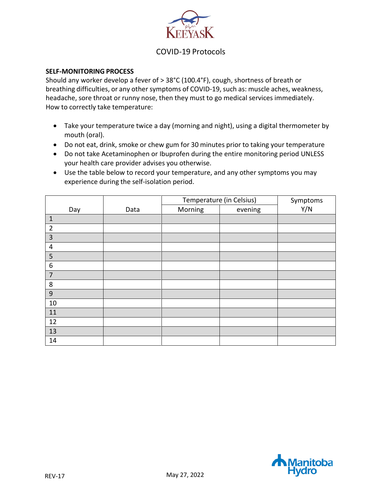

## **SELF-MONITORING PROCESS**

Should any worker develop a fever of > 38°C (100.4°F), cough, shortness of breath or breathing difficulties, or any other symptoms of COVID-19, such as: muscle aches, weakness, headache, sore throat or runny nose, then they must to go medical services immediately. How to correctly take temperature:

- Take your temperature twice a day (morning and night), using a digital thermometer by mouth (oral).
- Do not eat, drink, smoke or chew gum for 30 minutes prior to taking your temperature
- Do not take Acetaminophen or Ibuprofen during the entire monitoring period UNLESS your health care provider advises you otherwise.
- Use the table below to record your temperature, and any other symptoms you may experience during the self-isolation period.

|                  |      | Temperature (in Celsius) |         | Symptoms |
|------------------|------|--------------------------|---------|----------|
| Day              | Data | Morning                  | evening | Y/N      |
| $\mathbf{1}$     |      |                          |         |          |
| $\overline{2}$   |      |                          |         |          |
| 3                |      |                          |         |          |
| $\overline{4}$   |      |                          |         |          |
| 5                |      |                          |         |          |
| $\boldsymbol{6}$ |      |                          |         |          |
| $\overline{7}$   |      |                          |         |          |
| 8                |      |                          |         |          |
| $\overline{9}$   |      |                          |         |          |
| 10               |      |                          |         |          |
| 11               |      |                          |         |          |
| 12               |      |                          |         |          |
| 13               |      |                          |         |          |
| 14               |      |                          |         |          |

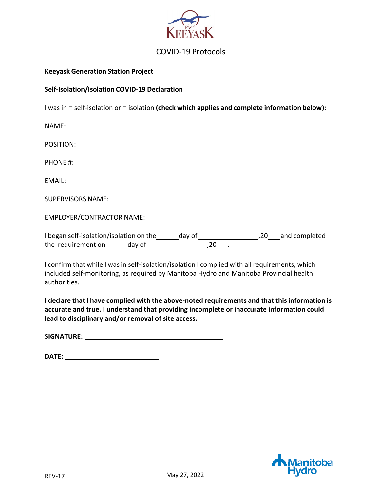

## **Keeyask Generation Station Project**

## **Self-Isolation/Isolation COVID-19 Declaration**

I was in □ self-isolation or □ isolation **(check which applies and complete information below):**

NAME:

POSITION:

PHONE #:

EMAIL:

SUPERVISORS NAME:

EMPLOYER/CONTRACTOR NAME:

I began self-isolation/isolation on the day of 1980 and completed the requirement on day of  $\frac{1}{20}$ ,  $\frac{20}{20}$ 

I confirm that while I was in self-isolation/isolation I complied with all requirements, which included self-monitoring, as required by Manitoba Hydro and Manitoba Provincial health authorities.

**I declare that I have complied with the above-noted requirements and that thisinformation is accurate and true. I understand that providing incomplete or inaccurate information could lead to disciplinary and/or removal of site access.**

**SIGNATURE:** 

**DATE:**